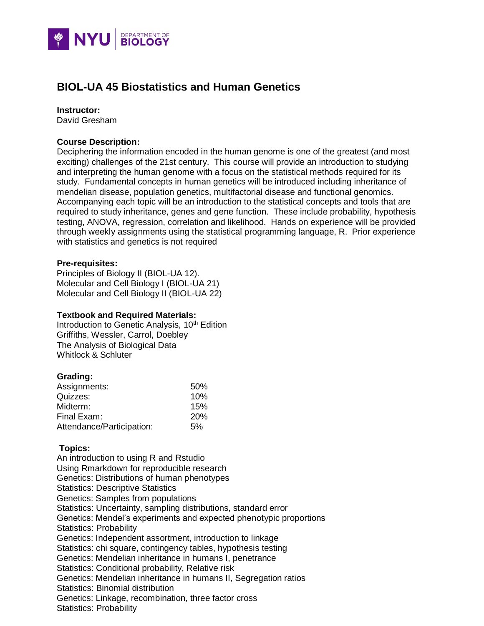

# **BIOL-UA 45 Biostatistics and Human Genetics**

#### **Instructor:**

David Gresham

### **Course Description:**

Deciphering the information encoded in the human genome is one of the greatest (and most exciting) challenges of the 21st century. This course will provide an introduction to studying and interpreting the human genome with a focus on the statistical methods required for its study. Fundamental concepts in human genetics will be introduced including inheritance of mendelian disease, population genetics, multifactorial disease and functional genomics. Accompanying each topic will be an introduction to the statistical concepts and tools that are required to study inheritance, genes and gene function. These include probability, hypothesis testing, ANOVA, regression, correlation and likelihood. Hands on experience will be provided through weekly assignments using the statistical programming language, R. Prior experience with statistics and genetics is not required

#### **Pre-requisites:**

Principles of Biology II (BIOL-UA 12). Molecular and Cell Biology I (BIOL-UA 21) Molecular and Cell Biology II (BIOL-UA 22)

#### **Textbook and Required Materials:**

Introduction to Genetic Analysis, 10<sup>th</sup> Edition Griffiths, Wessler, Carrol, Doebley The Analysis of Biological Data Whitlock & Schluter

#### **Grading:**

| Assignments:              | 50%        |
|---------------------------|------------|
| Quizzes:                  | 10%        |
| Midterm:                  | 15%        |
| Final Exam:               | <b>20%</b> |
| Attendance/Participation: | 5%         |

## **Topics:**

An introduction to using R and Rstudio Using Rmarkdown for reproducible research Genetics: Distributions of human phenotypes Statistics: Descriptive Statistics Genetics: Samples from populations Statistics: Uncertainty, sampling distributions, standard error Genetics: Mendel's experiments and expected phenotypic proportions Statistics: Probability Genetics: Independent assortment, introduction to linkage Statistics: chi square, contingency tables, hypothesis testing Genetics: Mendelian inheritance in humans I, penetrance Statistics: Conditional probability, Relative risk Genetics: Mendelian inheritance in humans II, Segregation ratios Statistics: Binomial distribution Genetics: Linkage, recombination, three factor cross Statistics: Probability